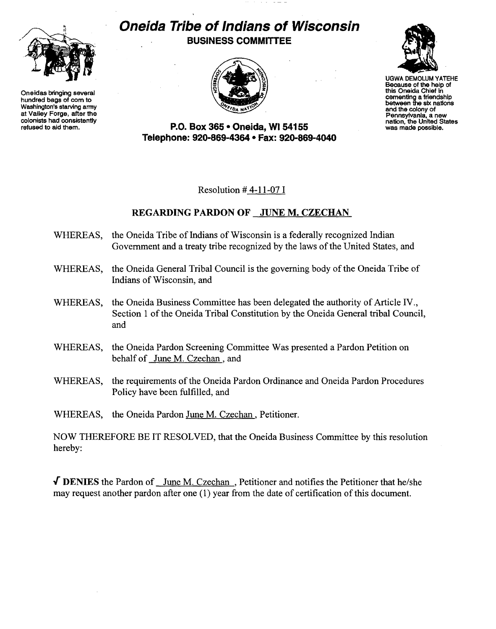

Oneidas bringing several hundred bags of com to Washington's starving army at Valley Forge, after the colonists had consistently refused to aid them.

## **Oneida Tribe of Indians of Wisconsin BUSINESS COMMITTEE**





UGWA DEMOLUM YATEHE Because of the help of this Oneida Chief In cementing a friendship between the six nallons and the colony of<br>Pennsylvania, a new nation, the United States<br>was made possible.

**P.O. Box 365· Oneida,** WI 54155 **Telephone: 920-869-4364 • Fax: 920-869-4040** 

Resolution # 4-11-07 I

## REGARDING PARDON OF JUNE M. CZECHAN

- WHEREAS, the Oneida Tribe of Indians of Wisconsin is a federally recognized Indian Government and a treaty tribe recognized by the laws of the United States, and
- WHEREAS, the Oneida General Tribal Council is the governing body of the Oneida Tribe of Indians of Wisconsin, and
- WHEREAS, the Oneida Business Committee has been delegated the authority of Article IV., Section 1 of the Oneida Tribal Constitution by the Oneida General tribal Council, and
- WHEREAS, the Oneida Pardon Screening Committee Was presented a Pardon Petition on behalf of June M. Czechan , and
- WHEREAS, the requirements of the Oneida Pardon Ordinance and Oneida Pardon Procedures Policy have been fulfilled, and

WHEREAS, the Oneida Pardon June M. Czechan, Petitioner.

NOW THEREFORE BE IT RESOLVED, that the Oneida Business Committee by this resolution hereby:

 $\sqrt{\text{DENIES}}$  the Pardon of June M. Czechan, Petitioner and notifies the Petitioner that he/she may request another pardon after one (1) year from the date of certification of this document.